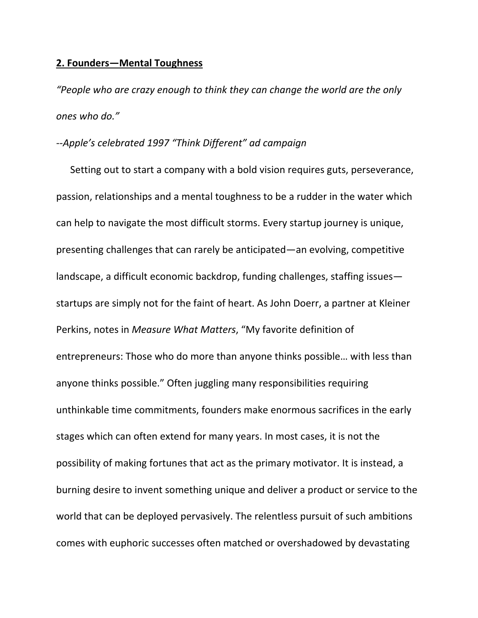## **2. Founders—Mental Toughness**

*"People who are crazy enough to think they can change the world are the only ones who do."*

## *‐‐Apple's celebrated 1997 "Think Different" ad campaign*

Setting out to start a company with a bold vision requires guts, perseverance, passion, relationships and a mental toughness to be a rudder in the water which can help to navigate the most difficult storms. Every startup journey is unique, presenting challenges that can rarely be anticipated—an evolving, competitive landscape, a difficult economic backdrop, funding challenges, staffing issues startups are simply not for the faint of heart. As John Doerr, a partner at Kleiner Perkins, notes in *Measure What Matters*, "My favorite definition of entrepreneurs: Those who do more than anyone thinks possible… with less than anyone thinks possible." Often juggling many responsibilities requiring unthinkable time commitments, founders make enormous sacrifices in the early stages which can often extend for many years. In most cases, it is not the possibility of making fortunes that act as the primary motivator. It is instead, a burning desire to invent something unique and deliver a product or service to the world that can be deployed pervasively. The relentless pursuit of such ambitions comes with euphoric successes often matched or overshadowed by devastating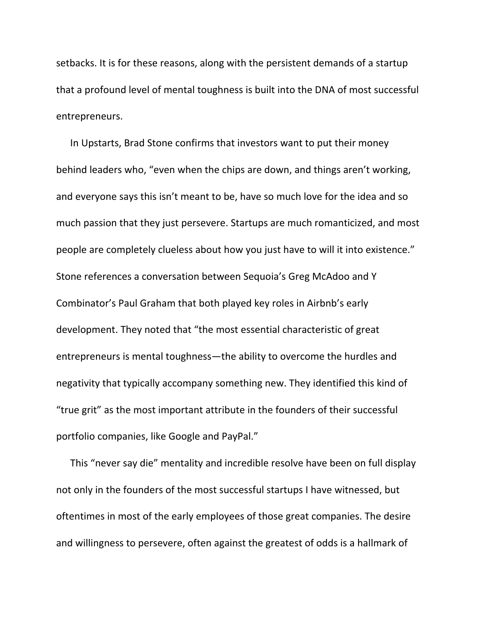setbacks. It is for these reasons, along with the persistent demands of a startup that a profound level of mental toughness is built into the DNA of most successful entrepreneurs.

In Upstarts, Brad Stone confirms that investors want to put their money behind leaders who, "even when the chips are down, and things aren't working, and everyone says this isn't meant to be, have so much love for the idea and so much passion that they just persevere. Startups are much romanticized, and most people are completely clueless about how you just have to will it into existence." Stone references a conversation between Sequoia's Greg McAdoo and Y Combinator's Paul Graham that both played key roles in Airbnb's early development. They noted that "the most essential characteristic of great entrepreneurs is mental toughness—the ability to overcome the hurdles and negativity that typically accompany something new. They identified this kind of "true grit" as the most important attribute in the founders of their successful portfolio companies, like Google and PayPal."

This "never say die" mentality and incredible resolve have been on full display not only in the founders of the most successful startups I have witnessed, but oftentimes in most of the early employees of those great companies. The desire and willingness to persevere, often against the greatest of odds is a hallmark of